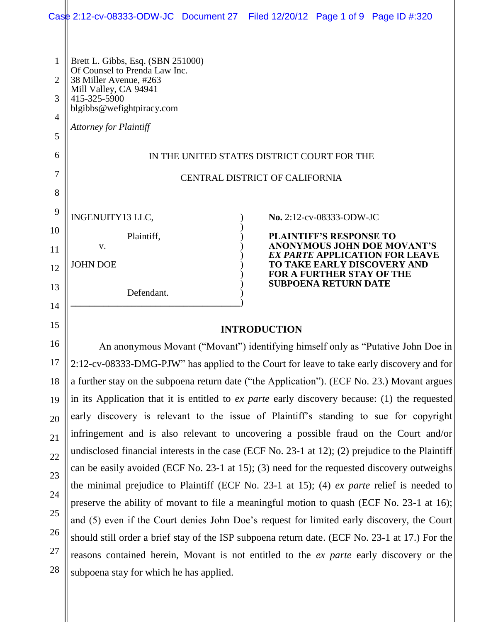|                | Case 2:12-cv-08333-ODW-JC Document 27 Filed 12/20/12 Page 1 of 9 Page ID #:320                                                                                                          |  |  |                                                                 |                                                                      |  |  |
|----------------|-----------------------------------------------------------------------------------------------------------------------------------------------------------------------------------------|--|--|-----------------------------------------------------------------|----------------------------------------------------------------------|--|--|
|                |                                                                                                                                                                                         |  |  |                                                                 |                                                                      |  |  |
| $\mathbf{1}$   | Brett L. Gibbs, Esq. (SBN 251000)                                                                                                                                                       |  |  |                                                                 |                                                                      |  |  |
| $\overline{2}$ | Of Counsel to Prenda Law Inc.<br>38 Miller Avenue, #263                                                                                                                                 |  |  |                                                                 |                                                                      |  |  |
| 3              | Mill Valley, CA 94941<br>415-325-5900                                                                                                                                                   |  |  |                                                                 |                                                                      |  |  |
| 4              | blgibbs@wefightpiracy.com                                                                                                                                                               |  |  |                                                                 |                                                                      |  |  |
| 5              | <b>Attorney for Plaintiff</b>                                                                                                                                                           |  |  |                                                                 |                                                                      |  |  |
| 6              | IN THE UNITED STATES DISTRICT COURT FOR THE                                                                                                                                             |  |  |                                                                 |                                                                      |  |  |
| 7              | CENTRAL DISTRICT OF CALIFORNIA                                                                                                                                                          |  |  |                                                                 |                                                                      |  |  |
| 8              |                                                                                                                                                                                         |  |  |                                                                 |                                                                      |  |  |
| 9              |                                                                                                                                                                                         |  |  |                                                                 |                                                                      |  |  |
| 10             | INGENUITY13 LLC,                                                                                                                                                                        |  |  | No. 2:12-cv-08333-ODW-JC                                        |                                                                      |  |  |
| 11             | Plaintiff,<br>V.                                                                                                                                                                        |  |  | <b>PLAINTIFF'S RESPONSE TO</b>                                  | <b>ANONYMOUS JOHN DOE MOVANT'S</b>                                   |  |  |
| 12             | <b>JOHN DOE</b>                                                                                                                                                                         |  |  |                                                                 | <b>EX PARTE APPLICATION FOR LEAVE</b><br>TO TAKE EARLY DISCOVERY AND |  |  |
| 13             |                                                                                                                                                                                         |  |  | <b>FOR A FURTHER STAY OF THE</b><br><b>SUBPOENA RETURN DATE</b> |                                                                      |  |  |
| 14             | Defendant.                                                                                                                                                                              |  |  |                                                                 |                                                                      |  |  |
| 15             |                                                                                                                                                                                         |  |  |                                                                 |                                                                      |  |  |
| 16             | <b>INTRODUCTION</b>                                                                                                                                                                     |  |  |                                                                 |                                                                      |  |  |
|                | An anonymous Movant ("Movant") identifying himself only as "Putative John Doe in                                                                                                        |  |  |                                                                 |                                                                      |  |  |
| 17             | 2:12-cv-08333-DMG-PJW" has applied to the Court for leave to take early discovery and for                                                                                               |  |  |                                                                 |                                                                      |  |  |
| 18             | a further stay on the subpoena return date ("the Application"). (ECF No. 23.) Movant argues                                                                                             |  |  |                                                                 |                                                                      |  |  |
| 19             | in its Application that it is entitled to <i>ex parte</i> early discovery because: (1) the requested                                                                                    |  |  |                                                                 |                                                                      |  |  |
| 20             | early discovery is relevant to the issue of Plaintiff's standing to sue for copyright                                                                                                   |  |  |                                                                 |                                                                      |  |  |
| 21             | infringement and is also relevant to uncovering a possible fraud on the Court and/or                                                                                                    |  |  |                                                                 |                                                                      |  |  |
| 22             | undisclosed financial interests in the case (ECF No. 23-1 at 12); (2) prejudice to the Plaintiff                                                                                        |  |  |                                                                 |                                                                      |  |  |
| 23             | can be easily avoided (ECF No. 23-1 at 15); (3) need for the requested discovery outweighs                                                                                              |  |  |                                                                 |                                                                      |  |  |
| 24             | the minimal prejudice to Plaintiff (ECF No. 23-1 at 15); (4) ex parte relief is needed to                                                                                               |  |  |                                                                 |                                                                      |  |  |
| 25             | preserve the ability of movant to file a meaningful motion to quash (ECF No. 23-1 at 16);<br>and (5) even if the Court denies John Doe's request for limited early discovery, the Court |  |  |                                                                 |                                                                      |  |  |
| 26             | should still order a brief stay of the ISP subpoena return date. (ECF No. 23-1 at 17.) For the                                                                                          |  |  |                                                                 |                                                                      |  |  |
| 27             | reasons contained herein, Movant is not entitled to the ex parte early discovery or the                                                                                                 |  |  |                                                                 |                                                                      |  |  |
| 28             | subpoena stay for which he has applied.                                                                                                                                                 |  |  |                                                                 |                                                                      |  |  |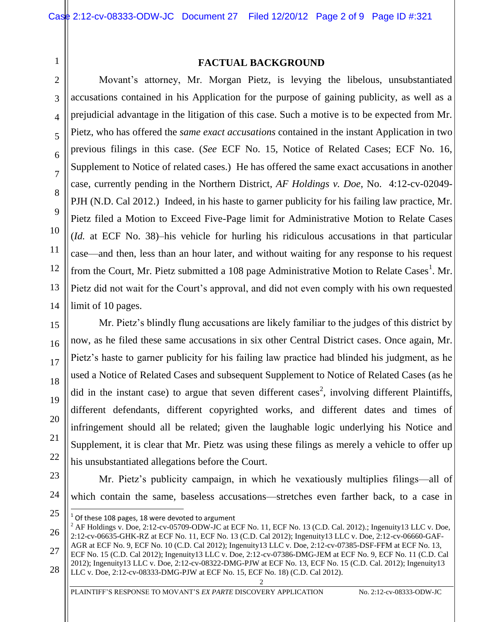#### **FACTUAL BACKGROUND**

Movant's attorney, Mr. Morgan Pietz, is levying the libelous, unsubstantiated accusations contained in his Application for the purpose of gaining publicity, as well as a prejudicial advantage in the litigation of this case. Such a motive is to be expected from Mr. Pietz, who has offered the *same exact accusations* contained in the instant Application in two previous filings in this case. (*See* ECF No. 15, Notice of Related Cases; ECF No. 16, Supplement to Notice of related cases.) He has offered the same exact accusations in another case, currently pending in the Northern District, *AF Holdings v. Doe*, No. 4:12-cv-02049- PJH (N.D. Cal 2012.) Indeed, in his haste to garner publicity for his failing law practice, Mr. Pietz filed a Motion to Exceed Five-Page limit for Administrative Motion to Relate Cases (*Id.* at ECF No. 38)–his vehicle for hurling his ridiculous accusations in that particular case—and then, less than an hour later, and without waiting for any response to his request from the Court, Mr. Pietz submitted a 108 page Administrative Motion to Relate Cases<sup>1</sup>. Mr. Pietz did not wait for the Court's approval, and did not even comply with his own requested limit of 10 pages.

Mr. Pietz's blindly flung accusations are likely familiar to the judges of this district by now, as he filed these same accusations in six other Central District cases. Once again, Mr. Pietz's haste to garner publicity for his failing law practice had blinded his judgment, as he used a Notice of Related Cases and subsequent Supplement to Notice of Related Cases (as he did in the instant case) to argue that seven different cases<sup>2</sup>, involving different Plaintiffs, different defendants, different copyrighted works, and different dates and times of infringement should all be related; given the laughable logic underlying his Notice and Supplement, it is clear that Mr. Pietz was using these filings as merely a vehicle to offer up his unsubstantiated allegations before the Court.

Mr. Pietz's publicity campaign, in which he vexatiously multiplies filings—all of which contain the same, baseless accusations—stretches even farther back, to a case in

ECF No. 15 (C.D. Cal 2012); Ingenuity13 LLC v. Doe, 2:12-cv-07386-DMG-JEM at ECF No. 9, ECF No. 11 (C.D. Cal 2012); Ingenuity13 LLC v. Doe, 2:12-cv-08322-DMG-PJW at ECF No. 13, ECF No. 15 (C.D. Cal. 2012); Ingenuity13 LLC v. Doe, 2:12-cv-08333-DMG-PJW at ECF No. 15, ECF No. 18) (C.D. Cal 2012).

2

1

2

3

4

5

6

7

8

9

10

11

12

13

14

15

16

17

18

 $\overline{a}$  $^{1}$  Of these 108 pages, 18 were devoted to argument

 $^2$  AF Holdings v. Doe, 2:12-cv-05709-ODW-JC at ECF No. 11, ECF No. 13 (C.D. Cal. 2012).; Ingenuity13 LLC v. Doe, 2:12-cv-06635-GHK-RZ at ECF No. 11, ECF No. 13 (C.D. Cal 2012); Ingenuity13 LLC v. Doe, 2:12-cv-06660-GAF-AGR at ECF No. 9, ECF No. 10 (C.D. Cal 2012); Ingenuity13 LLC v. Doe, 2:12-cv-07385-DSF-FFM at ECF No. 13,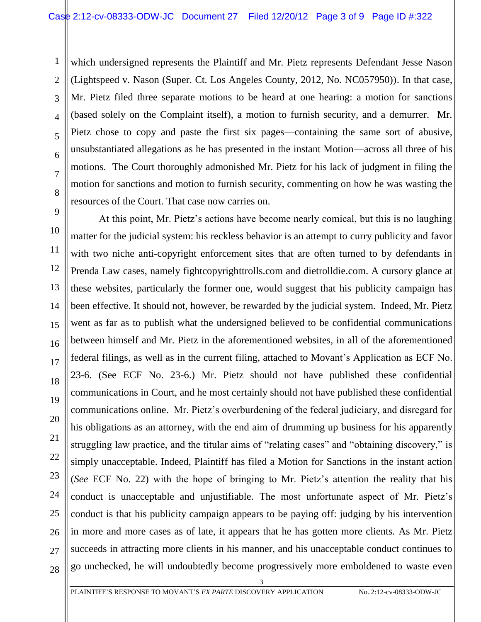1

2

3

4

5

6

7

8

11

15

17

21

27

which undersigned represents the Plaintiff and Mr. Pietz represents Defendant Jesse Nason (Lightspeed v. Nason (Super. Ct. Los Angeles County, 2012, No. NC057950)). In that case, Mr. Pietz filed three separate motions to be heard at one hearing: a motion for sanctions (based solely on the Complaint itself), a motion to furnish security, and a demurrer. Mr. Pietz chose to copy and paste the first six pages—containing the same sort of abusive, unsubstantiated allegations as he has presented in the instant Motion—across all three of his motions. The Court thoroughly admonished Mr. Pietz for his lack of judgment in filing the motion for sanctions and motion to furnish security, commenting on how he was wasting the resources of the Court. That case now carries on.

9 10 12 13 14 16 18 19 20 22 23 24 25 26 28 At this point, Mr. Pietz's actions have become nearly comical, but this is no laughing matter for the judicial system: his reckless behavior is an attempt to curry publicity and favor with two niche anti-copyright enforcement sites that are often turned to by defendants in Prenda Law cases, namely fightcopyrighttrolls.com and dietrolldie.com. A cursory glance at these websites, particularly the former one, would suggest that his publicity campaign has been effective. It should not, however, be rewarded by the judicial system. Indeed, Mr. Pietz went as far as to publish what the undersigned believed to be confidential communications between himself and Mr. Pietz in the aforementioned websites, in all of the aforementioned federal filings, as well as in the current filing, attached to Movant's Application as ECF No. 23-6. (See ECF No. 23-6.) Mr. Pietz should not have published these confidential communications in Court, and he most certainly should not have published these confidential communications online. Mr. Pietz's overburdening of the federal judiciary, and disregard for his obligations as an attorney, with the end aim of drumming up business for his apparently struggling law practice, and the titular aims of "relating cases" and "obtaining discovery," is simply unacceptable. Indeed, Plaintiff has filed a Motion for Sanctions in the instant action (*See* ECF No. 22) with the hope of bringing to Mr. Pietz's attention the reality that his conduct is unacceptable and unjustifiable. The most unfortunate aspect of Mr. Pietz's conduct is that his publicity campaign appears to be paying off: judging by his intervention in more and more cases as of late, it appears that he has gotten more clients. As Mr. Pietz succeeds in attracting more clients in his manner, and his unacceptable conduct continues to go unchecked, he will undoubtedly become progressively more emboldened to waste even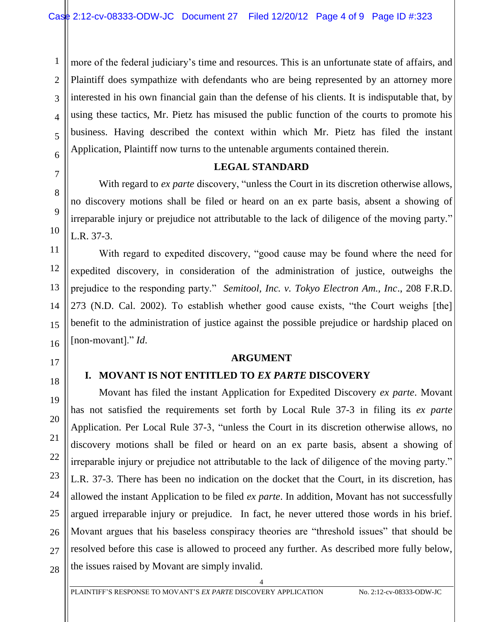1 2 3 4 5 6 more of the federal judiciary's time and resources. This is an unfortunate state of affairs, and Plaintiff does sympathize with defendants who are being represented by an attorney more interested in his own financial gain than the defense of his clients. It is indisputable that, by using these tactics, Mr. Pietz has misused the public function of the courts to promote his business. Having described the context within which Mr. Pietz has filed the instant Application, Plaintiff now turns to the untenable arguments contained therein.

#### **LEGAL STANDARD**

With regard to *ex parte* discovery, "unless the Court in its discretion otherwise allows, no discovery motions shall be filed or heard on an ex parte basis, absent a showing of irreparable injury or prejudice not attributable to the lack of diligence of the moving party." L.R. 37-3.

With regard to expedited discovery, "good cause may be found where the need for expedited discovery, in consideration of the administration of justice, outweighs the prejudice to the responding party." *Semitool, Inc. v. Tokyo Electron Am., Inc*., 208 F.R.D. 273 (N.D. Cal. 2002). To establish whether good cause exists, "the Court weighs [the] benefit to the administration of justice against the possible prejudice or hardship placed on [non-movant]." *Id*.

#### **ARGUMENT**

# 18

7

8

9

10

11

12

13

14

15

16

17

19

20

21

#### **I. MOVANT IS NOT ENTITLED TO** *EX PARTE* **DISCOVERY**

Movant has filed the instant Application for Expedited Discovery *ex parte*. Movant has not satisfied the requirements set forth by Local Rule 37-3 in filing its *ex parte* Application. Per Local Rule 37-3, "unless the Court in its discretion otherwise allows, no discovery motions shall be filed or heard on an ex parte basis, absent a showing of irreparable injury or prejudice not attributable to the lack of diligence of the moving party." L.R. 37-3. There has been no indication on the docket that the Court, in its discretion, has allowed the instant Application to be filed *ex parte*. In addition, Movant has not successfully argued irreparable injury or prejudice. In fact, he never uttered those words in his brief. Movant argues that his baseless conspiracy theories are "threshold issues" that should be resolved before this case is allowed to proceed any further. As described more fully below, the issues raised by Movant are simply invalid.

4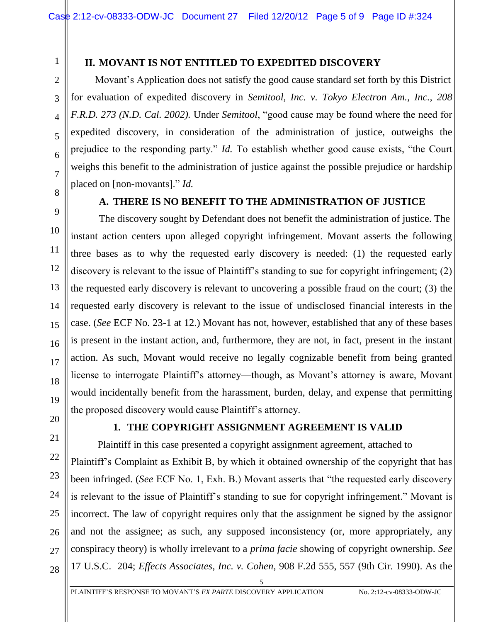# 1

2

### **II. MOVANT IS NOT ENTITLED TO EXPEDITED DISCOVERY**

Movant's Application does not satisfy the good cause standard set forth by this District for evaluation of expedited discovery in *Semitool, Inc. v. Tokyo Electron Am., Inc., 208 F.R.D. 273 (N.D. Cal. 2002).* Under *Semitool*, "good cause may be found where the need for expedited discovery, in consideration of the administration of justice, outweighs the prejudice to the responding party." *Id.* To establish whether good cause exists, "the Court weighs this benefit to the administration of justice against the possible prejudice or hardship placed on [non-movants]." *Id.*

# **A. THERE IS NO BENEFIT TO THE ADMINISTRATION OF JUSTICE**

The discovery sought by Defendant does not benefit the administration of justice. The instant action centers upon alleged copyright infringement. Movant asserts the following three bases as to why the requested early discovery is needed: (1) the requested early discovery is relevant to the issue of Plaintiff's standing to sue for copyright infringement; (2) the requested early discovery is relevant to uncovering a possible fraud on the court; (3) the requested early discovery is relevant to the issue of undisclosed financial interests in the case. (*See* ECF No. 23-1 at 12.) Movant has not, however, established that any of these bases is present in the instant action, and, furthermore, they are not, in fact, present in the instant action. As such, Movant would receive no legally cognizable benefit from being granted license to interrogate Plaintiff's attorney—though, as Movant's attorney is aware, Movant would incidentally benefit from the harassment, burden, delay, and expense that permitting the proposed discovery would cause Plaintiff's attorney.

# **1. THE COPYRIGHT ASSIGNMENT AGREEMENT IS VALID**

 Plaintiff in this case presented a copyright assignment agreement, attached to Plaintiff's Complaint as Exhibit B, by which it obtained ownership of the copyright that has been infringed. (*See* ECF No. 1, Exh. B.) Movant asserts that "the requested early discovery is relevant to the issue of Plaintiff's standing to sue for copyright infringement." Movant is incorrect. The law of copyright requires only that the assignment be signed by the assignor and not the assignee; as such, any supposed inconsistency (or, more appropriately, any conspiracy theory) is wholly irrelevant to a *prima facie* showing of copyright ownership. *See* 17 U.S.C. 204; *Effects Associates, Inc. v. Cohen*, 908 F.2d 555, 557 (9th Cir. 1990). As the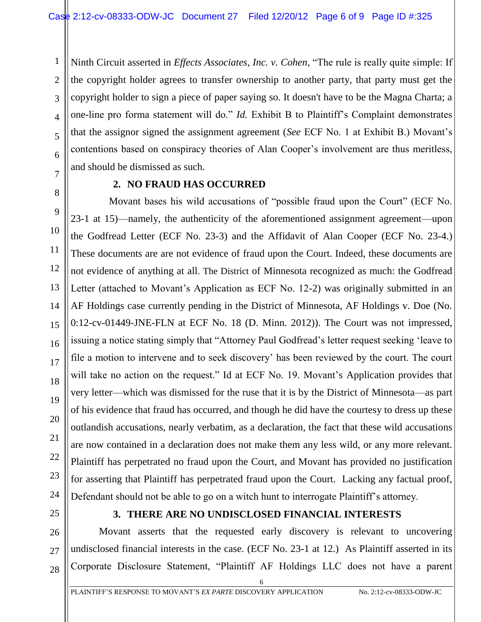Ninth Circuit asserted in *Effects Associates, Inc. v. Cohen*, "The rule is really quite simple: If the copyright holder agrees to transfer ownership to another party, that party must get the copyright holder to sign a piece of paper saying so. It doesn't have to be the Magna Charta; a one-line pro forma statement will do." *Id.* Exhibit B to Plaintiff's Complaint demonstrates that the assignor signed the assignment agreement (*See* ECF No. 1 at Exhibit B.) Movant's contentions based on conspiracy theories of Alan Cooper's involvement are thus meritless, and should be dismissed as such.

1

2

3

4

5

6

7

8

9

10

11

12

13

14

15

16

17

18

19

20

21

22

23

24

26

27

#### **2. NO FRAUD HAS OCCURRED**

 Movant bases his wild accusations of "possible fraud upon the Court" (ECF No. 23-1 at 15)—namely, the authenticity of the aforementioned assignment agreement—upon the Godfread Letter (ECF No. 23-3) and the Affidavit of Alan Cooper (ECF No. 23-4.) These documents are are not evidence of fraud upon the Court. Indeed, these documents are not evidence of anything at all. The District of Minnesota recognized as much: the Godfread Letter (attached to Movant's Application as ECF No. 12-2) was originally submitted in an AF Holdings case currently pending in the District of Minnesota, AF Holdings v. Doe (No. 0:12-cv-01449-JNE-FLN at ECF No. 18 (D. Minn. 2012)). The Court was not impressed, issuing a notice stating simply that "Attorney Paul Godfread's letter request seeking 'leave to file a motion to intervene and to seek discovery' has been reviewed by the court. The court will take no action on the request." Id at ECF No. 19. Movant's Application provides that very letter—which was dismissed for the ruse that it is by the District of Minnesota—as part of his evidence that fraud has occurred, and though he did have the courtesy to dress up these outlandish accusations, nearly verbatim, as a declaration, the fact that these wild accusations are now contained in a declaration does not make them any less wild, or any more relevant. Plaintiff has perpetrated no fraud upon the Court, and Movant has provided no justification for asserting that Plaintiff has perpetrated fraud upon the Court. Lacking any factual proof, Defendant should not be able to go on a witch hunt to interrogate Plaintiff's attorney.

25

# **3. THERE ARE NO UNDISCLOSED FINANCIAL INTERESTS**

Movant asserts that the requested early discovery is relevant to uncovering undisclosed financial interests in the case. (ECF No. 23-1 at 12.) As Plaintiff asserted in its Corporate Disclosure Statement, "Plaintiff AF Holdings LLC does not have a parent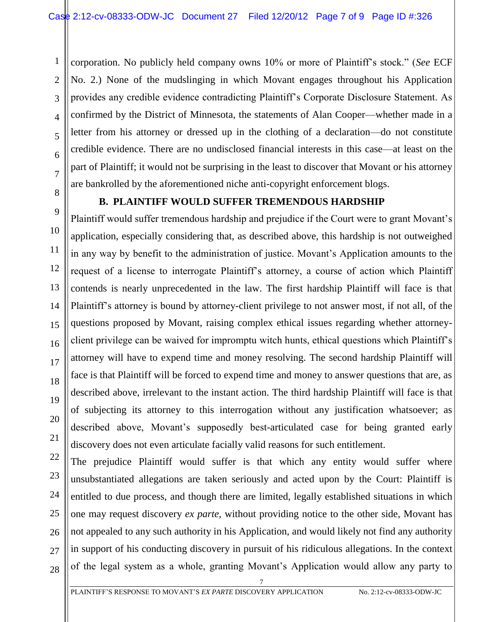corporation. No publicly held company owns 10% or more of Plaintiff's stock." (*See* ECF No. 2.) None of the mudslinging in which Movant engages throughout his Application provides any credible evidence contradicting Plaintiff's Corporate Disclosure Statement. As confirmed by the District of Minnesota, the statements of Alan Cooper—whether made in a letter from his attorney or dressed up in the clothing of a declaration—do not constitute credible evidence. There are no undisclosed financial interests in this case—at least on the part of Plaintiff; it would not be surprising in the least to discover that Movant or his attorney are bankrolled by the aforementioned niche anti-copyright enforcement blogs.

# **B. PLAINTIFF WOULD SUFFER TREMENDOUS HARDSHIP**

Plaintiff would suffer tremendous hardship and prejudice if the Court were to grant Movant's application, especially considering that, as described above, this hardship is not outweighed in any way by benefit to the administration of justice. Movant's Application amounts to the request of a license to interrogate Plaintiff's attorney, a course of action which Plaintiff contends is nearly unprecedented in the law. The first hardship Plaintiff will face is that Plaintiff's attorney is bound by attorney-client privilege to not answer most, if not all, of the questions proposed by Movant, raising complex ethical issues regarding whether attorneyclient privilege can be waived for impromptu witch hunts, ethical questions which Plaintiff's attorney will have to expend time and money resolving. The second hardship Plaintiff will face is that Plaintiff will be forced to expend time and money to answer questions that are, as described above, irrelevant to the instant action. The third hardship Plaintiff will face is that of subjecting its attorney to this interrogation without any justification whatsoever; as described above, Movant's supposedly best-articulated case for being granted early discovery does not even articulate facially valid reasons for such entitlement.

22 23 24 25 26 The prejudice Plaintiff would suffer is that which any entity would suffer where unsubstantiated allegations are taken seriously and acted upon by the Court: Plaintiff is entitled to due process, and though there are limited, legally established situations in which one may request discovery *ex parte,* without providing notice to the other side, Movant has not appealed to any such authority in his Application, and would likely not find any authority in support of his conducting discovery in pursuit of his ridiculous allegations. In the context of the legal system as a whole, granting Movant's Application would allow any party to

7

1

2

3

4

5

6

7

8

9

10

11

12

13

14

15

16

17

18

19

20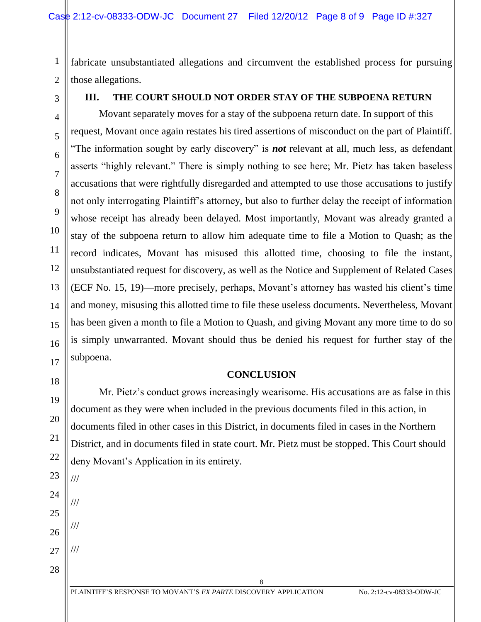fabricate unsubstantiated allegations and circumvent the established process for pursuing those allegations.

# **III. THE COURT SHOULD NOT ORDER STAY OF THE SUBPOENA RETURN**

Movant separately moves for a stay of the subpoena return date. In support of this request, Movant once again restates his tired assertions of misconduct on the part of Plaintiff. "The information sought by early discovery" is *not* relevant at all, much less, as defendant asserts "highly relevant." There is simply nothing to see here; Mr. Pietz has taken baseless accusations that were rightfully disregarded and attempted to use those accusations to justify not only interrogating Plaintiff's attorney, but also to further delay the receipt of information whose receipt has already been delayed. Most importantly, Movant was already granted a stay of the subpoena return to allow him adequate time to file a Motion to Quash; as the record indicates, Movant has misused this allotted time, choosing to file the instant, unsubstantiated request for discovery, as well as the Notice and Supplement of Related Cases (ECF No. 15, 19)—more precisely, perhaps, Movant's attorney has wasted his client's time and money, misusing this allotted time to file these useless documents. Nevertheless, Movant has been given a month to file a Motion to Quash, and giving Movant any more time to do so is simply unwarranted. Movant should thus be denied his request for further stay of the subpoena.

#### **CONCLUSION**

Mr. Pietz's conduct grows increasingly wearisome. His accusations are as false in this document as they were when included in the previous documents filed in this action, in documents filed in other cases in this District, in documents filed in cases in the Northern District, and in documents filed in state court. Mr. Pietz must be stopped. This Court should deny Movant's Application in its entirety.

8

///

///

///

///